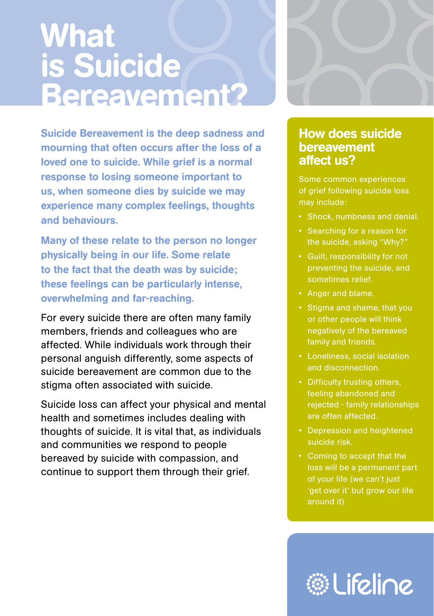# **What** is Suicide Bereavement?

Suicide Bereavement is the deep sadness and mourning that often occurs after the loss of a loved one to suicide. While grief is a normal response to losing someone important to us, when someone dies by suicide we may experience many complex feelings, thoughts and behaviours.

Many of these relate to the person no longer physically being in our life. Some relate to the fact that the death was by suicide; these feelings can be particularly intense, overwhelming and far-reaching.

For every suicide there are often many family members, friends and colleagues who are affected. While individuals work through their personal anguish differently, some aspects of suicide bereavement are common due to the stigma often associated with suicide.

Suicide loss can affect your physical and mental health and sometimes includes dealing with thoughts of suicide. It is vital that, as individuals and communities we respond to people bereaved by suicide with compassion, and continue to support them through their grief.



### How does suicide bereavement affect us?

Some common experiences of grief following suicide loss may include:

- Shock, numbness and denial.
- Searching for a reason for the suicide, asking "Why?"
- • Guilt, responsibility for not preventing the suicide, and sometimes relief.
- • Anger and blame.
- • Stigma and shame, that you or other people will think negatively of the bereaved family and friends.
- Loneliness, social isolation and disconnection.
- Difficulty trusting others, feeling abandoned and rejected - family relationships are often affected.
- Depression and heightened suicide risk.
- • Coming to accept that the loss will be a permanent part of your life (we can't just 'get over it' but grow our life around it).